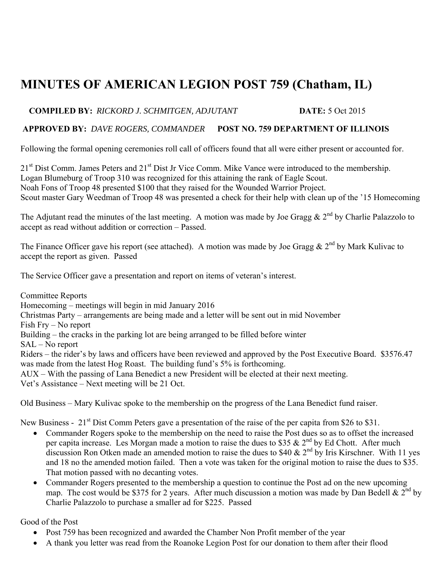## **MINUTES OF AMERICAN LEGION POST 759 (Chatham, IL)**

## **COMPILED BY:** *RICKORD J. SCHMITGEN, ADJUTANT* **DATE:** 5 Oct 2015

## **APPROVED BY:** *DAVE ROGERS, COMMANDER* **POST NO. 759 DEPARTMENT OF ILLINOIS**

Following the formal opening ceremonies roll call of officers found that all were either present or accounted for.

21<sup>st</sup> Dist Comm. James Peters and 21<sup>st</sup> Dist Jr Vice Comm. Mike Vance were introduced to the membership. Logan Blumeburg of Troop 310 was recognized for this attaining the rank of Eagle Scout. Noah Fons of Troop 48 presented \$100 that they raised for the Wounded Warrior Project. Scout master Gary Weedman of Troop 48 was presented a check for their help with clean up of the '15 Homecoming

The Adjutant read the minutes of the last meeting. A motion was made by Joe Gragg  $& 2^{nd}$  by Charlie Palazzolo to accept as read without addition or correction – Passed.

The Finance Officer gave his report (see attached). A motion was made by Joe Gragg &  $2^{nd}$  by Mark Kulivac to accept the report as given. Passed

The Service Officer gave a presentation and report on items of veteran's interest.

Committee Reports Homecoming – meetings will begin in mid January 2016 Christmas Party – arrangements are being made and a letter will be sent out in mid November Fish Fry – No report Building – the cracks in the parking lot are being arranged to be filled before winter SAL – No report Riders – the rider's by laws and officers have been reviewed and approved by the Post Executive Board. \$3576.47 was made from the latest Hog Roast. The building fund's 5% is forthcoming. AUX – With the passing of Lana Benedict a new President will be elected at their next meeting. Vet's Assistance – Next meeting will be 21 Oct.

Old Business – Mary Kulivac spoke to the membership on the progress of the Lana Benedict fund raiser.

New Business - 21<sup>st</sup> Dist Comm Peters gave a presentation of the raise of the per capita from \$26 to \$31.

- Commander Rogers spoke to the membership on the need to raise the Post dues so as to offset the increased per capita increase. Les Morgan made a motion to raise the dues to \$35  $\&$  2<sup>nd</sup> by Ed Chott. After much discussion Ron Otken made an amended motion to raise the dues to \$40  $\&$  2<sup>nd</sup> by Iris Kirschner. With 11 yes and 18 no the amended motion failed. Then a vote was taken for the original motion to raise the dues to \$35. That motion passed with no decanting votes.
- Commander Rogers presented to the membership a question to continue the Post ad on the new upcoming map. The cost would be \$375 for 2 years. After much discussion a motion was made by Dan Bedell &  $2^{nd}$  by Charlie Palazzolo to purchase a smaller ad for \$225. Passed

Good of the Post

- Post 759 has been recognized and awarded the Chamber Non Profit member of the year
- A thank you letter was read from the Roanoke Legion Post for our donation to them after their flood